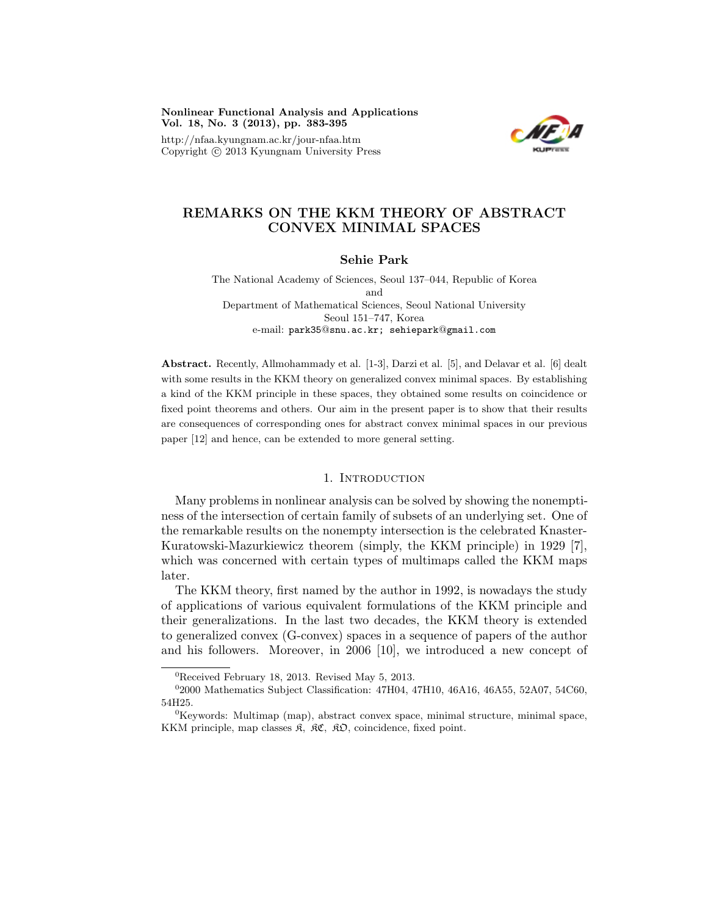Nonlinear Functional Analysis and Applications Vol. 18, No. 3 (2013), pp. 383-395

http://nfaa.kyungnam.ac.kr/jour-nfaa.htm Copyright  $\odot$  2013 Kyungnam University Press



# REMARKS ON THE KKM THEORY OF ABSTRACT CONVEX MINIMAL SPACES

### Sehie Park

The National Academy of Sciences, Seoul 137–044, Republic of Korea and Department of Mathematical Sciences, Seoul National University Seoul 151–747, Korea e-mail: park35@snu.ac.kr; sehiepark@gmail.com

Abstract. Recently, Allmohammady et al. [1-3], Darzi et al. [5], and Delavar et al. [6] dealt with some results in the KKM theory on generalized convex minimal spaces. By establishing a kind of the KKM principle in these spaces, they obtained some results on coincidence or fixed point theorems and others. Our aim in the present paper is to show that their results are consequences of corresponding ones for abstract convex minimal spaces in our previous paper [12] and hence, can be extended to more general setting.

### 1. INTRODUCTION

Many problems in nonlinear analysis can be solved by showing the nonemptiness of the intersection of certain family of subsets of an underlying set. One of the remarkable results on the nonempty intersection is the celebrated Knaster-Kuratowski-Mazurkiewicz theorem (simply, the KKM principle) in 1929 [7], which was concerned with certain types of multimaps called the KKM maps later.

The KKM theory, first named by the author in 1992, is nowadays the study of applications of various equivalent formulations of the KKM principle and their generalizations. In the last two decades, the KKM theory is extended to generalized convex (G-convex) spaces in a sequence of papers of the author and his followers. Moreover, in 2006 [10], we introduced a new concept of

 ${}^{0}$ Received February 18, 2013. Revised May 5, 2013.

<sup>02000</sup> Mathematics Subject Classification: 47H04, 47H10, 46A16, 46A55, 52A07, 54C60, 54H25.

 ${}^{0}$ Keywords: Multimap (map), abstract convex space, minimal structure, minimal space, KKM principle, map classes  $\mathfrak{K}$ ,  $\mathfrak{K} \mathfrak{C}$ ,  $\mathfrak{K} \mathfrak{O}$ , coincidence, fixed point.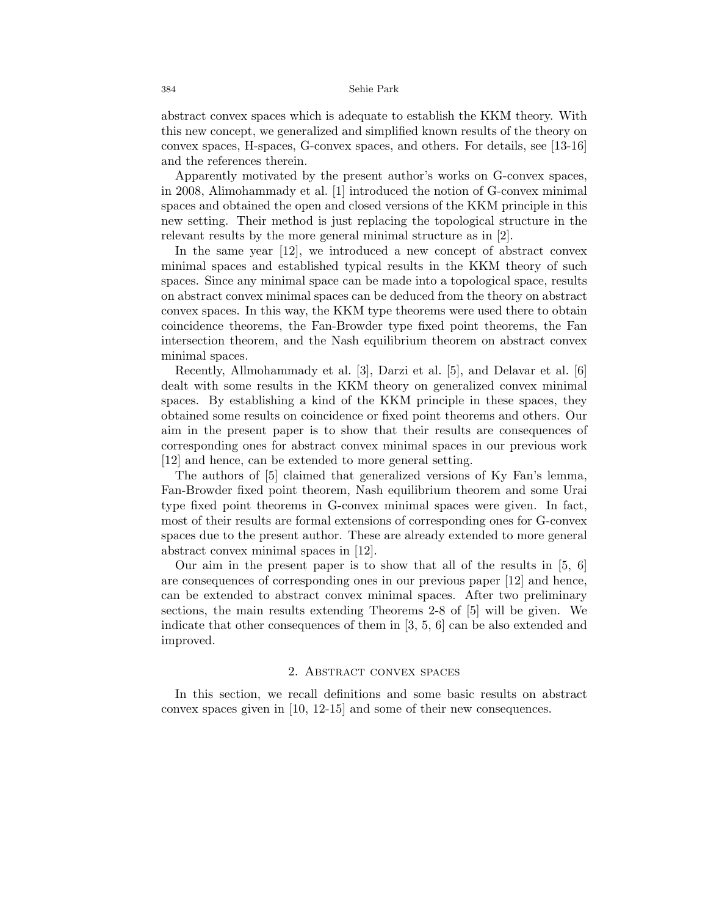abstract convex spaces which is adequate to establish the KKM theory. With this new concept, we generalized and simplified known results of the theory on convex spaces, H-spaces, G-convex spaces, and others. For details, see [13-16] and the references therein.

Apparently motivated by the present author's works on G-convex spaces, in 2008, Alimohammady et al. [1] introduced the notion of G-convex minimal spaces and obtained the open and closed versions of the KKM principle in this new setting. Their method is just replacing the topological structure in the relevant results by the more general minimal structure as in [2].

In the same year [12], we introduced a new concept of abstract convex minimal spaces and established typical results in the KKM theory of such spaces. Since any minimal space can be made into a topological space, results on abstract convex minimal spaces can be deduced from the theory on abstract convex spaces. In this way, the KKM type theorems were used there to obtain coincidence theorems, the Fan-Browder type fixed point theorems, the Fan intersection theorem, and the Nash equilibrium theorem on abstract convex minimal spaces.

Recently, Allmohammady et al. [3], Darzi et al. [5], and Delavar et al. [6] dealt with some results in the KKM theory on generalized convex minimal spaces. By establishing a kind of the KKM principle in these spaces, they obtained some results on coincidence or fixed point theorems and others. Our aim in the present paper is to show that their results are consequences of corresponding ones for abstract convex minimal spaces in our previous work [12] and hence, can be extended to more general setting.

The authors of [5] claimed that generalized versions of Ky Fan's lemma, Fan-Browder fixed point theorem, Nash equilibrium theorem and some Urai type fixed point theorems in G-convex minimal spaces were given. In fact, most of their results are formal extensions of corresponding ones for G-convex spaces due to the present author. These are already extended to more general abstract convex minimal spaces in [12].

Our aim in the present paper is to show that all of the results in [5, 6] are consequences of corresponding ones in our previous paper [12] and hence, can be extended to abstract convex minimal spaces. After two preliminary sections, the main results extending Theorems 2-8 of [5] will be given. We indicate that other consequences of them in [3, 5, 6] can be also extended and improved.

### 2. Abstract convex spaces

In this section, we recall definitions and some basic results on abstract convex spaces given in [10, 12-15] and some of their new consequences.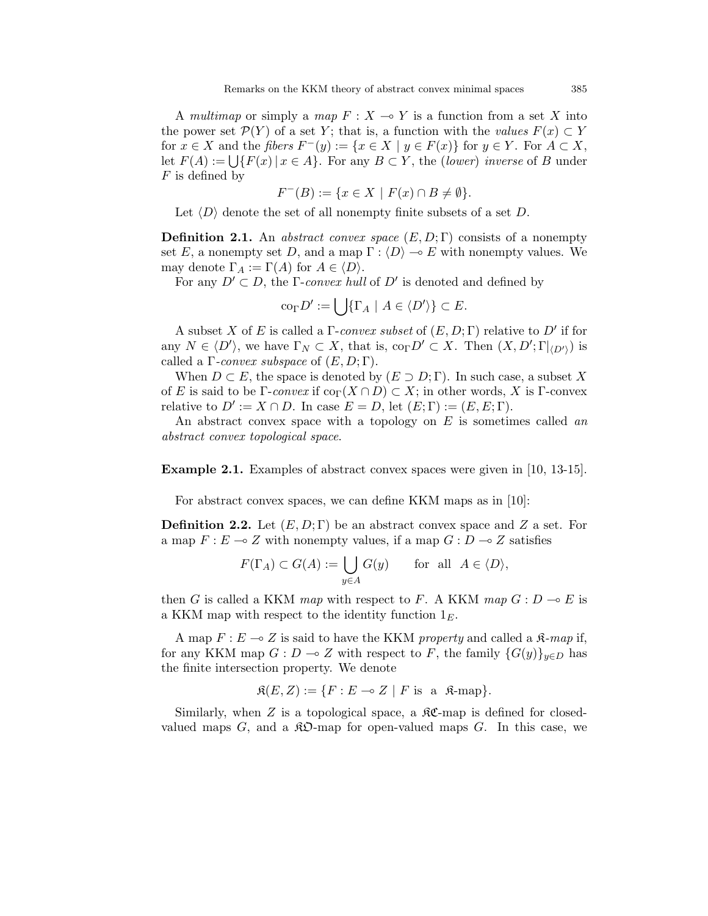A multimap or simply a map  $F : X \to Y$  is a function from a set X into the power set  $\mathcal{P}(Y)$  of a set Y; that is, a function with the values  $F(x) \subset Y$ for  $x \in X$  and the fibers  $F^-(y) := \{x \in X \mid y \in F(x)\}\$ for  $y \in Y$ . For  $A \subset X$ , let  $F(A) := \bigcup \{ F(x) \mid x \in A \}.$  For any  $B \subset Y$ , the (lower) inverse of B under  $F$  is defined by

$$
F^{-}(B) := \{ x \in X \mid F(x) \cap B \neq \emptyset \}.
$$

Let  $\langle D \rangle$  denote the set of all nonempty finite subsets of a set D.

**Definition 2.1.** An abstract convex space  $(E, D; \Gamma)$  consists of a nonempty set E, a nonempty set D, and a map  $\Gamma : \langle D \rangle \to E$  with nonempty values. We may denote  $\Gamma_A := \Gamma(A)$  for  $A \in \langle D \rangle$ .

For any  $D' \subset D$ , the *Γ-convex hull* of  $D'$  is denoted and defined by

$$
\mathrm{co}_{\Gamma} D' := \bigcup \{ \Gamma_A \mid A \in \langle D' \rangle \} \subset E.
$$

A subset X of E is called a  $\Gamma$ -convex subset of  $(E, D; \Gamma)$  relative to  $D'$  if for any  $N \in \langle D' \rangle$ , we have  $\Gamma_N \subset X$ , that is,  $\text{co}_{\Gamma}D' \subset X$ . Then  $(X, D'; \Gamma|_{\langle D' \rangle})$  is called a  $\Gamma$ -convex subspace of  $(E, D; \Gamma)$ .

When  $D \subset E$ , the space is denoted by  $(E \supset D; \Gamma)$ . In such case, a subset X of E is said to be  $\Gamma$ -convex if  $\text{co}_{\Gamma}(X \cap D) \subset X$ ; in other words, X is  $\Gamma$ -convex relative to  $D' := X \cap D$ . In case  $E = D$ , let  $(E; \Gamma) := (E, E; \Gamma)$ .

An abstract convex space with a topology on  $E$  is sometimes called an abstract convex topological space.

Example 2.1. Examples of abstract convex spaces were given in [10, 13-15].

For abstract convex spaces, we can define KKM maps as in [10]:

**Definition 2.2.** Let  $(E, D; \Gamma)$  be an abstract convex space and Z a set. For a map  $F : E \longrightarrow Z$  with nonempty values, if a map  $G : D \longrightarrow Z$  satisfies

$$
F(\Gamma_A) \subset G(A) := \bigcup_{y \in A} G(y) \quad \text{for all } A \in \langle D \rangle,
$$

then G is called a KKM map with respect to F. A KKM map  $G: D \to E$  is a KKM map with respect to the identity function  $1<sub>E</sub>$ .

A map  $F: E \multimap Z$  is said to have the KKM property and called a  $\mathfrak{K}\text{-}map$  if, for any KKM map  $G : D \to Z$  with respect to F, the family  ${G(y)}_{y\in D}$  has the finite intersection property. We denote

$$
\mathfrak{K}(E, Z) := \{ F : E \multimap Z \mid F \text{ is a } \mathfrak{K}\text{-map} \}.
$$

Similarly, when  $Z$  is a topological space, a  $\mathcal{RC}$ -map is defined for closedvalued maps  $G$ , and a  $\mathcal{R}D$ -map for open-valued maps  $G$ . In this case, we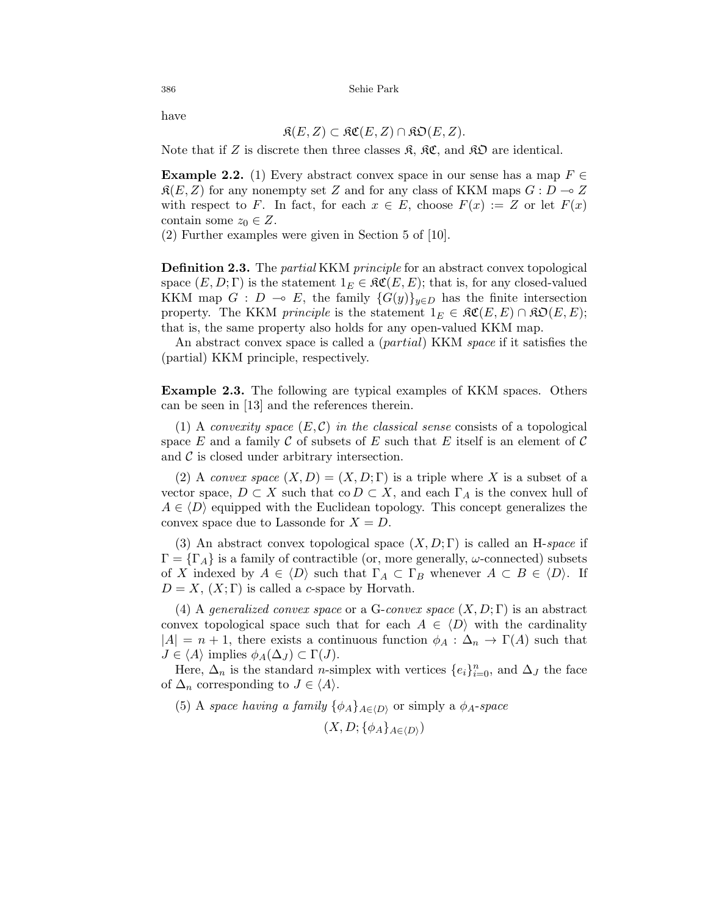have

$$
\mathfrak{K}(E, Z) \subset \mathfrak{KC}(E, Z) \cap \mathfrak{KD}(E, Z).
$$

Note that if Z is discrete then three classes  $\mathfrak{K}, \mathfrak{K} \mathfrak{C},$  and  $\mathfrak{K} \mathfrak{D}$  are identical.

**Example 2.2.** (1) Every abstract convex space in our sense has a map  $F \in$  $\mathfrak{K}(E, Z)$  for any nonempty set Z and for any class of KKM maps  $G : D \to Z$ with respect to F. In fact, for each  $x \in E$ , choose  $F(x) := Z$  or let  $F(x)$ contain some  $z_0 \in Z$ .

(2) Further examples were given in Section 5 of [10].

**Definition 2.3.** The *partial* KKM *principle* for an abstract convex topological space  $(E, D; \Gamma)$  is the statement  $1_E \in \mathfrak{RC}(E, E)$ ; that is, for any closed-valued KKM map  $G : D \multimap E$ , the family  ${G(y)}_{y\in D}$  has the finite intersection property. The KKM *principle* is the statement  $1_E \in \mathfrak{RC}(E, E) \cap \mathfrak{RO}(E, E);$ that is, the same property also holds for any open-valued KKM map.

An abstract convex space is called a (partial) KKM space if it satisfies the (partial) KKM principle, respectively.

Example 2.3. The following are typical examples of KKM spaces. Others can be seen in [13] and the references therein.

(1) A convexity space  $(E, \mathcal{C})$  in the classical sense consists of a topological space E and a family C of subsets of E such that E itself is an element of C and  $\mathcal C$  is closed under arbitrary intersection.

(2) A convex space  $(X, D) = (X, D; \Gamma)$  is a triple where X is a subset of a vector space,  $D \subset X$  such that  $\text{co } D \subset X$ , and each  $\Gamma_A$  is the convex hull of  $A \in \langle D \rangle$  equipped with the Euclidean topology. This concept generalizes the convex space due to Lassonde for  $X = D$ .

(3) An abstract convex topological space  $(X, D; \Gamma)$  is called an H-space if  $\Gamma = {\Gamma_A}$  is a family of contractible (or, more generally,  $\omega$ -connected) subsets of X indexed by  $A \in \langle D \rangle$  such that  $\Gamma_A \subset \Gamma_B$  whenever  $A \subset B \in \langle D \rangle$ . If  $D = X$ ,  $(X;\Gamma)$  is called a c-space by Horvath.

(4) A generalized convex space or a G-convex space  $(X, D; \Gamma)$  is an abstract convex topological space such that for each  $A \in \langle D \rangle$  with the cardinality  $|A| = n + 1$ , there exists a continuous function  $\phi_A : \Delta_n \to \Gamma(A)$  such that  $J \in \langle A \rangle$  implies  $\phi_A(\Delta_J) \subset \Gamma(J)$ .

Here,  $\Delta_n$  is the standard *n*-simplex with vertices  $\{e_i\}_{i=0}^n$ , and  $\Delta_J$  the face of  $\Delta_n$  corresponding to  $J \in \langle A \rangle$ .

(5) A space having a family  $\{\phi_A\}_{A\in\langle D\rangle}$  or simply a  $\phi_A$ -space

 $(X, D; {\phi_A}_{A \in \langle D \rangle})$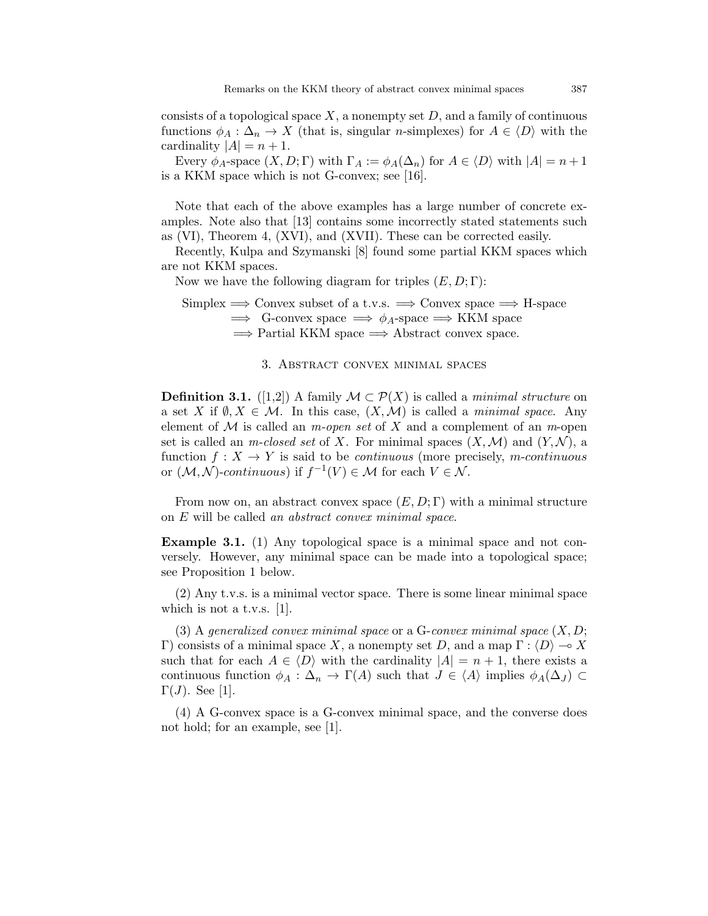consists of a topological space  $X$ , a nonempty set  $D$ , and a family of continuous functions  $\phi_A : \Delta_n \to X$  (that is, singular *n*-simplexes) for  $A \in \langle D \rangle$  with the cardinality  $|A| = n + 1$ .

Every  $\phi_A$ -space  $(X, D; \Gamma)$  with  $\Gamma_A := \phi_A(\Delta_n)$  for  $A \in \langle D \rangle$  with  $|A| = n + 1$ is a KKM space which is not G-convex; see [16].

Note that each of the above examples has a large number of concrete examples. Note also that [13] contains some incorrectly stated statements such as (VI), Theorem 4, (XVI), and (XVII). These can be corrected easily.

Recently, Kulpa and Szymanski [8] found some partial KKM spaces which are not KKM spaces.

Now we have the following diagram for triples  $(E, D; \Gamma)$ :

Simplex  $\Rightarrow$  Convex subset of a t.v.s.  $\Rightarrow$  Convex space  $\Rightarrow$  H-space  $\implies$  G-convex space  $\implies \phi_A$ -space  $\implies$  KKM space  $\Rightarrow$  Partial KKM space  $\Rightarrow$  Abstract convex space.

## 3. Abstract convex minimal spaces

**Definition 3.1.** ([1,2]) A family  $\mathcal{M} \subset \mathcal{P}(X)$  is called a *minimal structure* on a set X if  $\emptyset, X \in \mathcal{M}$ . In this case,  $(X, \mathcal{M})$  is called a *minimal space*. Any element of  $\mathcal M$  is called an *m-open set* of X and a complement of an *m*-open set is called an m-closed set of X. For minimal spaces  $(X, \mathcal{M})$  and  $(Y, \mathcal{N})$ , a function  $f: X \to Y$  is said to be *continuous* (more precisely, *m-continuous* or  $(M, N)$ -continuous) if  $f^{-1}(V) \in M$  for each  $V \in N$ .

From now on, an abstract convex space  $(E, D; \Gamma)$  with a minimal structure on E will be called an abstract convex minimal space.

Example 3.1. (1) Any topological space is a minimal space and not conversely. However, any minimal space can be made into a topological space; see Proposition 1 below.

(2) Any t.v.s. is a minimal vector space. There is some linear minimal space which is not a t.v.s. [1].

(3) A generalized convex minimal space or a  $G$ -convex minimal space  $(X, D;$ Γ) consists of a minimal space X, a nonempty set D, and a map  $\Gamma : \langle D \rangle \longrightarrow X$ such that for each  $A \in \langle D \rangle$  with the cardinality  $|A| = n + 1$ , there exists a continuous function  $\phi_A : \Delta_n \to \Gamma(A)$  such that  $J \in \langle A \rangle$  implies  $\phi_A(\Delta_J) \subset$  $\Gamma(J)$ . See [1].

(4) A G-convex space is a G-convex minimal space, and the converse does not hold; for an example, see [1].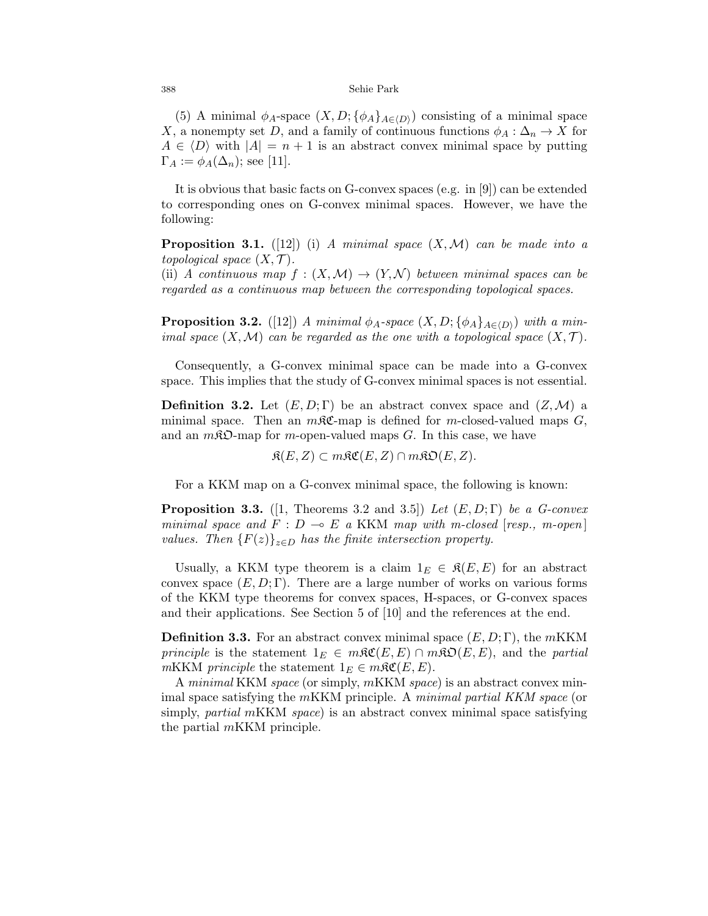(5) A minimal  $\phi_A$ -space  $(X, D; {\phi_A}_{A\in\langle D \rangle})$  consisting of a minimal space X, a nonempty set D, and a family of continuous functions  $\phi_A : \Delta_n \to X$  for  $A \in \langle D \rangle$  with  $|A| = n + 1$  is an abstract convex minimal space by putting  $\Gamma_A := \phi_A(\Delta_n)$ ; see [11].

It is obvious that basic facts on G-convex spaces (e.g. in [9]) can be extended to corresponding ones on G-convex minimal spaces. However, we have the following:

**Proposition 3.1.** ([12]) (i) A minimal space  $(X, \mathcal{M})$  can be made into a topological space  $(X, \mathcal{T})$ .

(ii) A continuous map  $f : (X, \mathcal{M}) \to (Y, \mathcal{N})$  between minimal spaces can be regarded as a continuous map between the corresponding topological spaces.

**Proposition 3.2.** ([12]) A minimal  $\phi_A$ -space  $(X, D; {\phi_A}_{A \in \langle D \rangle})$  with a minimal space  $(X, \mathcal{M})$  can be regarded as the one with a topological space  $(X, \mathcal{T})$ .

Consequently, a G-convex minimal space can be made into a G-convex space. This implies that the study of G-convex minimal spaces is not essential.

**Definition 3.2.** Let  $(E, D; \Gamma)$  be an abstract convex space and  $(Z, \mathcal{M})$  a minimal space. Then an  $m\mathcal{RC}$ -map is defined for m-closed-valued maps  $G$ , and an  $m\mathcal{R}\mathfrak{O}$ -map for m-open-valued maps G. In this case, we have

 $\mathfrak{K}(E, Z) \subset m\mathfrak{K}\mathfrak{C}(E, Z) \cap m\mathfrak{K}\mathfrak{O}(E, Z).$ 

For a KKM map on a G-convex minimal space, the following is known:

**Proposition 3.3.** ([1, Theorems 3.2 and 3.5]) Let  $(E, D; \Gamma)$  be a G-convex minimal space and  $F : D \multimap E$  a KKM map with m-closed [resp., m-open] values. Then  ${F(z)}_{z\in D}$  has the finite intersection property.

Usually, a KKM type theorem is a claim  $1_E \in \mathfrak{K}(E,E)$  for an abstract convex space  $(E, D; \Gamma)$ . There are a large number of works on various forms of the KKM type theorems for convex spaces, H-spaces, or G-convex spaces and their applications. See Section 5 of [10] and the references at the end.

**Definition 3.3.** For an abstract convex minimal space  $(E, D; \Gamma)$ , the mKKM *principle* is the statement  $1_E \in m\Re\mathfrak{C}(E, E) \cap m\Re\mathfrak{O}(E, E)$ , and the *partial* mKKM principle the statement  $1_E \in m\mathfrak{RC}(E, E)$ .

A minimal KKM space (or simply, mKKM space) is an abstract convex minimal space satisfying the mKKM principle. A minimal partial KKM space (or simply, *partial* mKKM *space*) is an abstract convex minimal space satisfying the partial mKKM principle.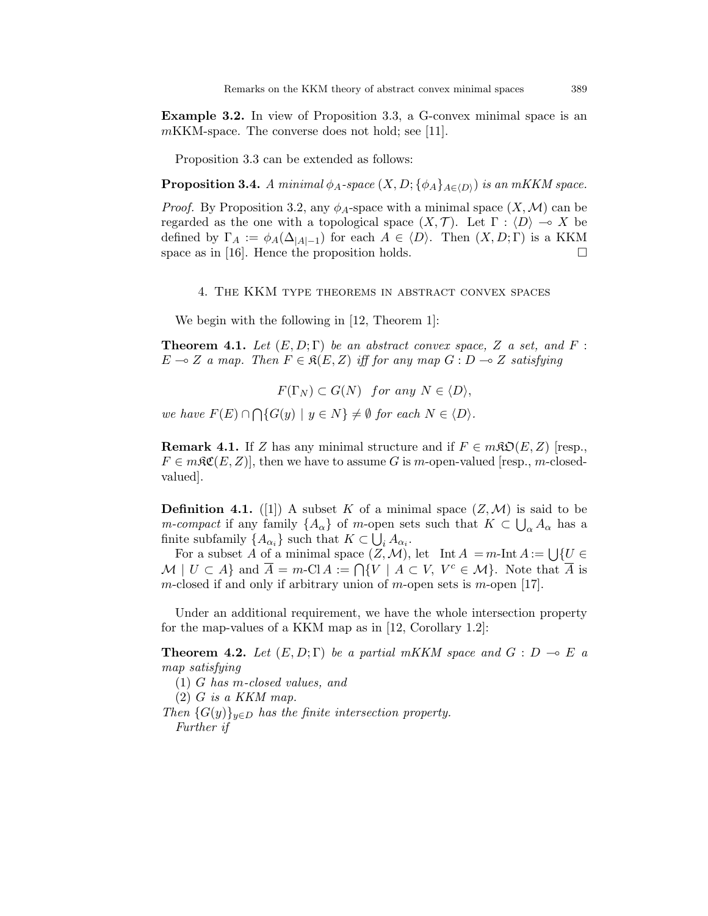Example 3.2. In view of Proposition 3.3, a G-convex minimal space is an mKKM-space. The converse does not hold; see [11].

Proposition 3.3 can be extended as follows:

**Proposition 3.4.** A minimal  $\phi_A$ -space  $(X, D; \{\phi_A\}_{A \in \langle D \rangle})$  is an mKKM space.

*Proof.* By Proposition 3.2, any  $\phi_A$ -space with a minimal space  $(X, \mathcal{M})$  can be regarded as the one with a topological space  $(X, \mathcal{T})$ . Let  $\Gamma : \langle D \rangle \to X$  be defined by  $\Gamma_A := \phi_A(\Delta_{|A|-1})$  for each  $A \in \langle D \rangle$ . Then  $(X, D; \Gamma)$  is a KKM space as in [16]. Hence the proposition holds.  $\square$ 

4. The KKM type theorems in abstract convex spaces

We begin with the following in [12, Theorem 1]:

**Theorem 4.1.** Let  $(E, D; \Gamma)$  be an abstract convex space, Z a set, and F :  $E \multimap Z$  a map. Then  $F \in \mathfrak{K}(E, Z)$  iff for any map  $G : D \multimap Z$  satisfying

 $F(\Gamma_N) \subset G(N)$  for any  $N \in \langle D \rangle$ , we have  $F(E) \cap \bigcap \{G(y) \mid y \in N\} \neq \emptyset$  for each  $N \in \langle D \rangle$ .

**Remark 4.1.** If Z has any minimal structure and if  $F \in m\mathfrak{KO}(E, Z)$  [resp.,  $F \in m\mathfrak{SC}(E, Z)$ , then we have to assume G is m-open-valued [resp., m-closedvalued].

**Definition 4.1.** ([1]) A subset K of a minimal space  $(Z, \mathcal{M})$  is said to be *m*-compact if any family  $\{A_{\alpha}\}\$  of *m*-open sets such that  $K \subset \bigcup_{\alpha} A_{\alpha}$  has a finite subfamily  $\{A_{\alpha_i}\}\$  such that  $K \subset \bigcup_i A_{\alpha_i}$ .

For a subset A of a minimal space  $(Z, \mathcal{M})$ , let Int  $A = m$ -Int  $A := \bigcup \{U \in$  $\mathcal{M} \mid U \subset A$  and  $\overline{A} = m\text{-Cl } A := \bigcap \{V \mid A \subset V, V^c \in \mathcal{M}\}\.$  Note that  $\overline{A}$  is m-closed if and only if arbitrary union of m-open sets is m-open [17].

Under an additional requirement, we have the whole intersection property for the map-values of a KKM map as in [12, Corollary 1.2]:

**Theorem 4.2.** Let  $(E, D; \Gamma)$  be a partial mKKM space and  $G : D \to E$  a map satisfying

(1) G has m-closed values, and

 $(2)$  G is a KKM map.

Then  ${G(y)}_{y\in D}$  has the finite intersection property. Further if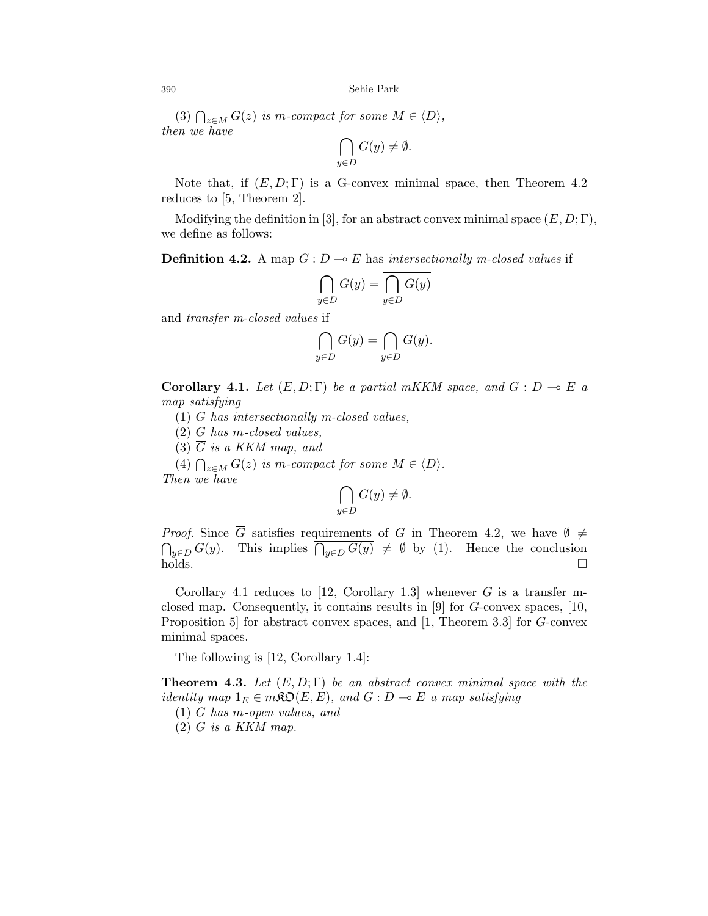(3)  $\bigcap_{z \in M} G(z)$  is m-compact for some  $M \in \langle D \rangle$ , then we have

$$
\bigcap_{y \in D} G(y) \neq \emptyset.
$$

Note that, if  $(E, D; \Gamma)$  is a G-convex minimal space, then Theorem 4.2 reduces to [5, Theorem 2].

Modifying the definition in [3], for an abstract convex minimal space  $(E, D; \Gamma)$ , we define as follows:

**Definition 4.2.** A map  $G: D \to E$  has intersectionally m-closed values if

$$
\bigcap_{y \in D} \overline{G(y)} = \overline{\bigcap_{y \in D} G(y)}
$$

and transfer m-closed values if

$$
\bigcap_{y\in D}\overline{G(y)}=\bigcap_{y\in D}G(y).
$$

Corollary 4.1. Let  $(E, D; \Gamma)$  be a partial mKKM space, and  $G : D \multimap E$  a map satisfying

(1) G has intersectionally m-closed values,

- (2)  $\overline{G}$  has m-closed values,
- $(3)$   $\overline{G}$  is a KKM map, and

(4)  $\bigcap_{z \in M} G(z)$  is m-compact for some  $M \in \langle D \rangle$ . Then we have

$$
\bigcap_{y \in D} G(y) \neq \emptyset.
$$

*Proof.* Since  $\overline{G}$  satisfies requirements of G in Theorem 4.2, we have  $\emptyset \neq$  $\bigcap_{y\in D} \overline{G}(y)$ . This implies  $\bigcap_{y\in D} G(y) \neq \emptyset$  by (1). Hence the conclusion  $holds.$ 

Corollary 4.1 reduces to [12, Corollary 1.3] whenever G is a transfer mclosed map. Consequently, it contains results in  $[9]$  for G-convex spaces,  $[10]$ , Proposition 5] for abstract convex spaces, and [1, Theorem 3.3] for G-convex minimal spaces.

The following is [12, Corollary 1.4]:

**Theorem 4.3.** Let  $(E, D; \Gamma)$  be an abstract convex minimal space with the identity map  $1_E \in m\mathfrak{SO}(E, E)$ , and  $G : D \multimap E$  a map satisfying

(1) G has m-open values, and

 $(2)$  G is a KKM map.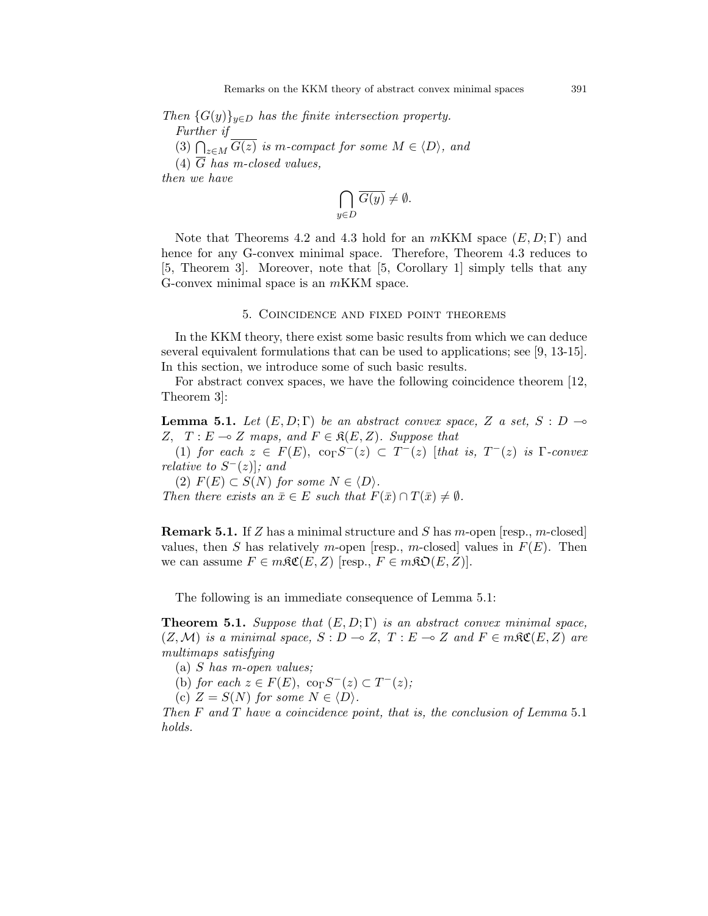Then  ${G(y)}_{y\in D}$  has the finite intersection property. Further if (3)  $\bigcap_{z \in M} G(z)$  is m-compact for some  $M \in \langle D \rangle$ , and  $(4)$   $\overline{G}$  has m-closed values, then we have

$$
\bigcap_{y \in D} \overline{G(y)} \neq \emptyset.
$$

Note that Theorems 4.2 and 4.3 hold for an  $mKKM$  space  $(E, D; \Gamma)$  and hence for any G-convex minimal space. Therefore, Theorem 4.3 reduces to [5, Theorem 3]. Moreover, note that [5, Corollary 1] simply tells that any G-convex minimal space is an mKKM space.

#### 5. Coincidence and fixed point theorems

In the KKM theory, there exist some basic results from which we can deduce several equivalent formulations that can be used to applications; see [9, 13-15]. In this section, we introduce some of such basic results.

For abstract convex spaces, we have the following coincidence theorem [12, Theorem 3]:

**Lemma 5.1.** Let  $(E, D; \Gamma)$  be an abstract convex space, Z a set, S : D  $\rightarrow$ Z,  $T : E \multimap Z$  maps, and  $F \in \mathfrak{K}(E, Z)$ . Suppose that

(1) for each  $z \in F(E)$ ,  $\operatorname{co}_{\Gamma}S^{-}(z) \subset T^{-}(z)$  [that is,  $T^{-}(z)$  is  $\Gamma$ -convex relative to  $S^{-}(z)$ ; and

(2)  $F(E) \subset S(N)$  for some  $N \in \langle D \rangle$ .

Then there exists an  $\bar{x} \in E$  such that  $F(\bar{x}) \cap T(\bar{x}) \neq \emptyset$ .

**Remark 5.1.** If Z has a minimal structure and S has m-open [resp., m-closed] values, then S has relatively m-open [resp., m-closed] values in  $F(E)$ . Then we can assume  $F \in m\mathfrak{RC}(E, Z)$  [resp.,  $F \in m\mathfrak{RO}(E, Z)$ ].

The following is an immediate consequence of Lemma 5.1:

**Theorem 5.1.** Suppose that  $(E, D; \Gamma)$  is an abstract convex minimal space,  $(Z, \mathcal{M})$  is a minimal space,  $S : D \multimap Z$ ,  $T : E \multimap Z$  and  $F \in m\mathfrak{RC}(E, Z)$  are multimaps satisfying

- (a) S has m-open values;
- (b) for each  $z \in F(E)$ , co<sub> $\Gamma S^{-}(z) \subset T^{-}(z)$ ;</sub>

(c)  $Z = S(N)$  for some  $N \in \langle D \rangle$ .

Then  $F$  and  $T$  have a coincidence point, that is, the conclusion of Lemma 5.1 holds.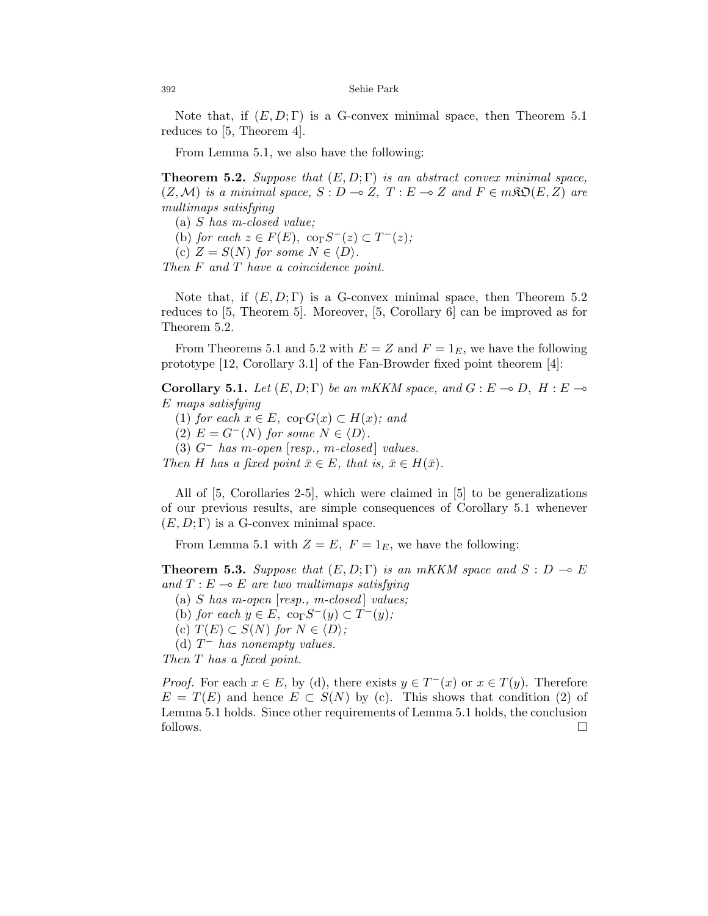Note that, if  $(E, D; \Gamma)$  is a G-convex minimal space, then Theorem 5.1 reduces to [5, Theorem 4].

From Lemma 5.1, we also have the following:

**Theorem 5.2.** Suppose that  $(E, D; \Gamma)$  is an abstract convex minimal space,  $(Z, \mathcal{M})$  is a minimal space,  $S : D \to Z$ ,  $T : E \to Z$  and  $F \in m\mathfrak{SO}(E, Z)$  are multimaps satisfying

- (a) S has m-closed value;
- (b) for each  $z \in F(E)$ ,  $\operatorname{co}_{\Gamma} S^{-}(z) \subset T^{-}(z)$ ;
- (c)  $Z = S(N)$  for some  $N \in \langle D \rangle$ .

Then F and T have a coincidence point.

Note that, if  $(E, D; \Gamma)$  is a G-convex minimal space, then Theorem 5.2 reduces to [5, Theorem 5]. Moreover, [5, Corollary 6] can be improved as for Theorem 5.2.

From Theorems 5.1 and 5.2 with  $E = Z$  and  $F = 1_E$ , we have the following prototype [12, Corollary 3.1] of the Fan-Browder fixed point theorem [4]:

Corollary 5.1. Let  $(E, D; \Gamma)$  be an mKKM space, and  $G : E \to D$ ,  $H : E \to$ E maps satisfying

- (1) for each  $x \in E$ , co<sub>Γ</sub> $G(x) \subset H(x)$ ; and
- (2)  $E = G^{-}(N)$  for some  $N \in \langle D \rangle$ .
- (3)  $G^-$  has m-open  $[resp., m-closed]$  values.

Then H has a fixed point  $\bar{x} \in E$ , that is,  $\bar{x} \in H(\bar{x})$ .

All of [5, Corollaries 2-5], which were claimed in [5] to be generalizations of our previous results, are simple consequences of Corollary 5.1 whenever  $(E, D; \Gamma)$  is a G-convex minimal space.

From Lemma 5.1 with  $Z = E$ ,  $F = 1_E$ , we have the following:

**Theorem 5.3.** Suppose that  $(E, D; \Gamma)$  is an mKKM space and  $S : D \multimap E$ and  $T : E \multimap E$  are two multimaps satisfying

(a) S has m-open  $[resp., m-closed]$  values;

(b) for each  $y \in E$ ,  $\operatorname{co}_{\Gamma} S^{-}(y) \subset T^{-}(y)$ ;

(c)  $T(E) \subset S(N)$  for  $N \in \langle D \rangle$ ;

(d)  $T^-$  has nonempty values.

Then T has a fixed point.

*Proof.* For each  $x \in E$ , by (d), there exists  $y \in T^{-}(x)$  or  $x \in T(y)$ . Therefore  $E = T(E)$  and hence  $E \subset S(N)$  by (c). This shows that condition (2) of Lemma 5.1 holds. Since other requirements of Lemma 5.1 holds, the conclusion follows.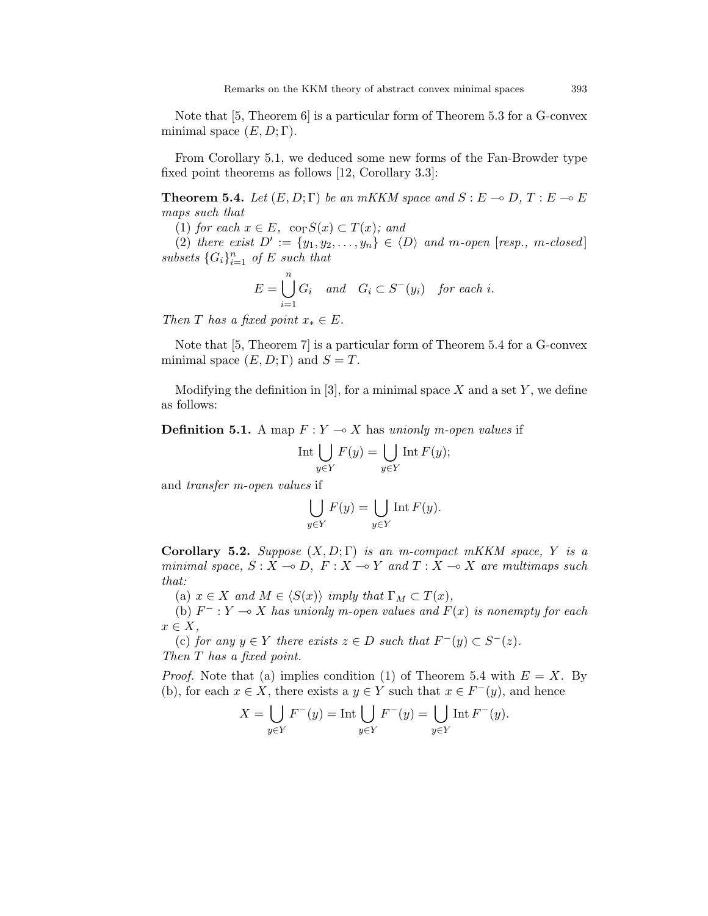Note that [5, Theorem 6] is a particular form of Theorem 5.3 for a G-convex minimal space  $(E, D; \Gamma)$ .

From Corollary 5.1, we deduced some new forms of the Fan-Browder type fixed point theorems as follows [12, Corollary 3.3]:

**Theorem 5.4.** Let  $(E, D; \Gamma)$  be an mKKM space and  $S : E \to D, T : E \to E$ maps such that

(1) for each  $x \in E$ , co<sub>Γ</sub> $S(x) \subset T(x)$ ; and

(2) there exist  $D' := \{y_1, y_2, \ldots, y_n\} \in \langle D \rangle$  and m-open [resp., m-closed] subsets  $\{G_i\}_{i=1}^n$  of E such that

$$
E = \bigcup_{i=1}^{n} G_i \quad and \quad G_i \subset S^-(y_i) \quad \text{for each } i.
$$

Then T has a fixed point  $x_* \in E$ .

Note that [5, Theorem 7] is a particular form of Theorem 5.4 for a G-convex minimal space  $(E, D; \Gamma)$  and  $S = T$ .

Modifying the definition in [3], for a minimal space X and a set Y, we define as follows:

**Definition 5.1.** A map  $F: Y \to X$  has unionly m-open values if

$$
\operatorname{Int}\bigcup_{y\in Y}F(y)=\bigcup_{y\in Y}\operatorname{Int}F(y);
$$

and transfer m-open values if

$$
\bigcup_{y \in Y} F(y) = \bigcup_{y \in Y} \text{Int } F(y).
$$

Corollary 5.2. Suppose  $(X, D; \Gamma)$  is an m-compact mKKM space, Y is a minimal space,  $S : X \to D$ ,  $F : X \to Y$  and  $T : X \to X$  are multimaps such that:

(a)  $x \in X$  and  $M \in \langle S(x) \rangle$  imply that  $\Gamma_M \subset T(x)$ ,

(b)  $F^-: Y \longrightarrow X$  has unionly m-open values and  $F(x)$  is nonempty for each  $x \in X$ ,

(c) for any  $y \in Y$  there exists  $z \in D$  such that  $F^-(y) \subset S^-(z)$ . Then T has a fixed point.

*Proof.* Note that (a) implies condition (1) of Theorem 5.4 with  $E = X$ . By (b), for each  $x \in X$ , there exists a  $y \in Y$  such that  $x \in F^-(y)$ , and hence

$$
X = \bigcup_{y \in Y} F^{-}(y) = \text{Int} \bigcup_{y \in Y} F^{-}(y) = \bigcup_{y \in Y} \text{Int} F^{-}(y).
$$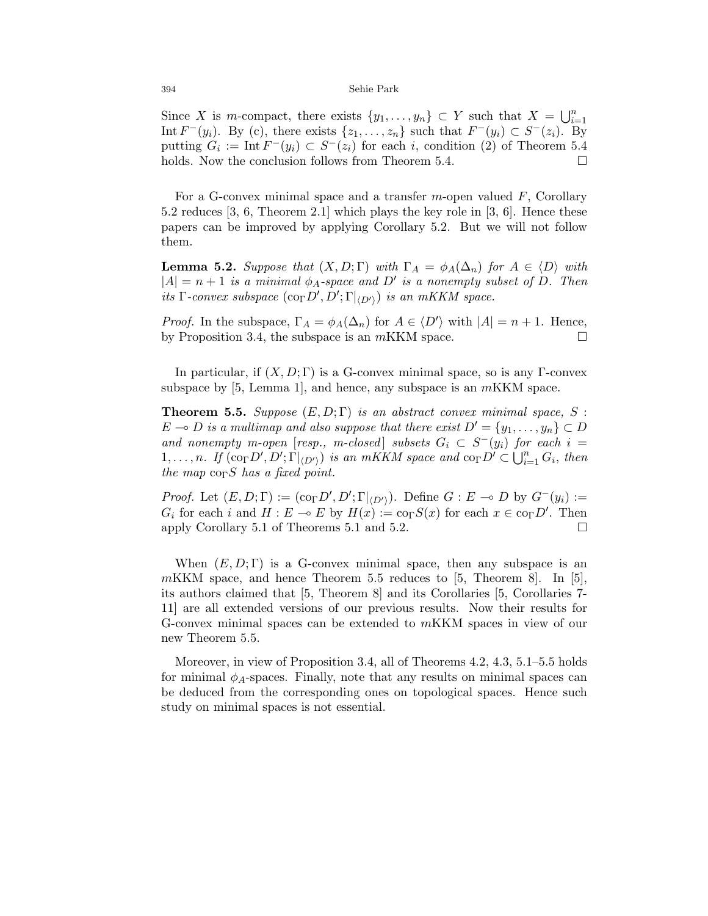Since X is m-compact, there exists  $\{y_1, \ldots, y_n\} \subset Y$  such that  $X = \bigcup_{i=1}^n$ Int  $F^-(y_i)$ . By (c), there exists  $\{z_1, \ldots, z_n\}$  such that  $F^-(y_i) \subset S^-(z_i)$ . By putting  $G_i := \text{Int } F^-(y_i) \subset S^-(z_i)$  for each i, condition (2) of Theorem 5.4 holds. Now the conclusion follows from Theorem 5.4.  $\Box$ 

For a G-convex minimal space and a transfer m-open valued  $F$ , Corollary 5.2 reduces [3, 6, Theorem 2.1] which plays the key role in [3, 6]. Hence these papers can be improved by applying Corollary 5.2. But we will not follow them.

**Lemma 5.2.** Suppose that  $(X, D; \Gamma)$  with  $\Gamma_A = \phi_A(\Delta_n)$  for  $A \in \langle D \rangle$  with  $|A| = n + 1$  is a minimal  $\phi_A$ -space and D' is a nonempty subset of D. Then its  $\Gamma$ -convex subspace  $(\text{co}_{\Gamma} D', D'; \Gamma|_{\langle D' \rangle})$  is an mKKM space.

*Proof.* In the subspace,  $\Gamma_A = \phi_A(\Delta_n)$  for  $A \in \langle D' \rangle$  with  $|A| = n + 1$ . Hence, by Proposition 3.4, the subspace is an  $mKKM$  space.  $\Box$ 

In particular, if  $(X, D; \Gamma)$  is a G-convex minimal space, so is any  $\Gamma$ -convex subspace by  $[5, \text{Lemma 1}]$ , and hence, any subspace is an *m*KKM space.

**Theorem 5.5.** Suppose  $(E, D; \Gamma)$  is an abstract convex minimal space, S :  $E \multimap D$  is a multimap and also suppose that there exist  $D' = \{y_1, \ldots, y_n\} \subset D$ and nonempty m-open [resp., m-closed] subsets  $G_i \subset S^-(y_i)$  for each  $i =$ 1,..., n. If  $(\text{co}_{\Gamma} D', D'; \Gamma|_{\langle D' \rangle})$  is an mKKM space and  $\text{co}_{\Gamma} D' \subset \bigcup_{i=1}^{n} G_i$ , then the map  $\cos S$  has a fixed point.

*Proof.* Let  $(E, D; \Gamma) := (\text{co}_{\Gamma} D', D'; \Gamma |_{\langle D' \rangle})$ . Define  $G : E \to D$  by  $G^-(y_i) :=$  $G_i$  for each i and  $H : E \to E$  by  $H(x) := \text{co}_{\Gamma} S(x)$  for each  $x \in \text{co}_{\Gamma} D'$ . Then apply Corollary 5.1 of Theorems 5.1 and 5.2.  $\Box$ 

When  $(E, D; \Gamma)$  is a G-convex minimal space, then any subspace is an  $mKKM$  space, and hence Theorem 5.5 reduces to [5, Theorem 8]. In [5], its authors claimed that [5, Theorem 8] and its Corollaries [5, Corollaries 7- 11] are all extended versions of our previous results. Now their results for G-convex minimal spaces can be extended to mKKM spaces in view of our new Theorem 5.5.

Moreover, in view of Proposition 3.4, all of Theorems 4.2, 4.3, 5.1–5.5 holds for minimal  $\phi_A$ -spaces. Finally, note that any results on minimal spaces can be deduced from the corresponding ones on topological spaces. Hence such study on minimal spaces is not essential.